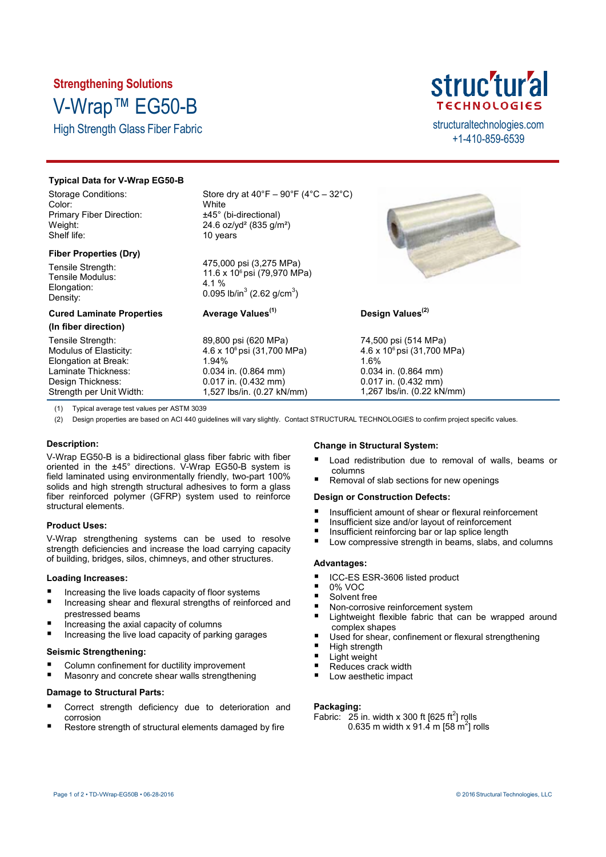# **Strengthening Solutions** V-Wrap™ EG50-B

High Strength Glass Fiber Fabric structural technologies.com



+1-410-859-6539

## **Typical Data for V-Wrap EG50-B**

Storage Conditions: Color: Primary Fiber Direction: Weight: Shelf life:

## **Fiber Properties (Dry)**

Tensile Strength: Tensile Modulus: Elongation: Density:

## **Cured Laminate Properties**

**(In fiber direction)**

Tensile Strength: Modulus of Elasticity: Elongation at Break: Laminate Thickness: Design Thickness: Strength per Unit Width: Store dry at  $40^{\circ}F - 90^{\circ}F (4^{\circ}C - 32^{\circ}C)$ **White** ±45° (bi-directional) 24.6 oz/yd² (835 g/m²) 10 years

475,000 psi (3,275 MPa) 11.6 x 10<sup>6</sup> psi (79,970 MPa) 4.1 % 0.095 lb/in $^3$  (2.62 g/cm $^3$ )

# **Average Values(1)**

89,800 psi (620 MPa) 4.6 x 10<sup>6</sup> psi (31,700 MPa) 1.94% 0.034 in. (0.864 mm) 0.017 in. (0.432 mm) 1,527 lbs/in. (0.27 kN/mm)



## **Design Values(2)**

74,500 psi (514 MPa) 4.6 x 10<sup>6</sup> psi (31,700 MPa) 1.6% 0.034 in. (0.864 mm) 0.017 in. (0.432 mm) 1,267 lbs/in. (0.22 kN/mm)

(1) Typical average test values per ASTM 3039

(2) Design properties are based on ACI 440 guidelines will vary slightly. Contact STRUCTURAL TECHNOLOGIES to confirm project specific values.

## **Description:**

V-Wrap EG50-B is a bidirectional glass fiber fabric with fiber oriented in the ±45° directions. V-Wrap EG50-B system is field laminated using environmentally friendly, two-part 100% solids and high strength structural adhesives to form a glass fiber reinforced polymer (GFRP) system used to reinforce structural elements.

## **Product Uses:**

V-Wrap strengthening systems can be used to resolve strength deficiencies and increase the load carrying capacity of building, bridges, silos, chimneys, and other structures.

## **Loading Increases:**

- **Increasing the live loads capacity of floor systems**
- Increasing shear and flexural strengths of reinforced and prestressed beams
- Increasing the axial capacity of columns
- Increasing the live load capacity of parking garages

## **Seismic Strengthening:**

- Column confinement for ductility improvement
- Masonry and concrete shear walls strengthening

## **Damage to Structural Parts:**

- Correct strength deficiency due to deterioration and corrosion
- Restore strength of structural elements damaged by fire

## **Change in Structural System:**

- Load redistribution due to removal of walls, beams or columns
- Removal of slab sections for new openings

## **Design or Construction Defects:**

- Insufficient amount of shear or flexural reinforcement
- Insufficient size and/or layout of reinforcement
- Insufficient reinforcing bar or lap splice length<br> $\blacksquare$  Low compressive strength in beams slabs and
- Low compressive strength in beams, slabs, and columns

## **Advantages:**

- ICC-ES ESR-3606 listed product
- $\blacksquare$  0% VOC
- Solvent free
- Non-corrosive reinforcement system
- Lightweight flexible fabric that can be wrapped around complex shapes
- Used for shear, confinement or flexural strengthening
- $\blacksquare$  High strength
- Light weight
- Reduces crack width
- Low aesthetic impact

### **Packaging:**

Fabric:  $25$  in. width x 300 ft [625 ft<sup>2</sup>] rolls 0.635 m width x 91.4 m [58 m<sup>2</sup>] rolls